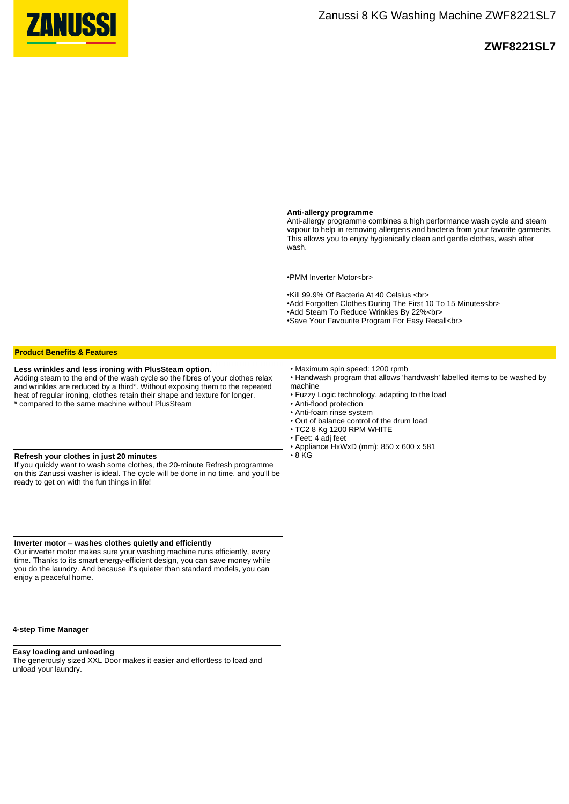

# **ZWF8221SL7**

#### **Anti-allergy programme**

Anti-allergy programme combines a high performance wash cycle and steam vapour to help in removing allergens and bacteria from your favorite garments. This allows you to enjoy hygienically clean and gentle clothes, wash after wash.

•PMM Inverter Motor<br>

•Kill 99.9% Of Bacteria At 40 Celsius <br>

•Add Forgotten Clothes During The First 10 To 15 Minutes<br>

•Add Steam To Reduce Wrinkles By 22%<br>

•Save Your Favourite Program For Easy Recall<br>

## **Product Benefits & Features**

#### **Less wrinkles and less ironing with PlusSteam option.**

Adding steam to the end of the wash cycle so the fibres of your clothes relax and wrinkles are reduced by a third\*. Without exposing them to the repeated heat of regular ironing, clothes retain their shape and texture for longer. \* compared to the same machine without PlusSteam

#### **Refresh your clothes in just 20 minutes**

If you quickly want to wash some clothes, the 20-minute Refresh programme on this Zanussi washer is ideal. The cycle will be done in no time, and you'll be ready to get on with the fun things in life!

**Inverter motor – washes clothes quietly and efficiently**

Our inverter motor makes sure your washing machine runs efficiently, every time. Thanks to its smart energy-efficient design, you can save money while you do the laundry. And because it's quieter than standard models, you can enjoy a peaceful home.

#### **4-step Time Manager**

### **Easy loading and unloading**

The generously sized XXL Door makes it easier and effortless to load and unload your laundry.

- Maximum spin speed: 1200 rpmb
- Handwash program that allows 'handwash' labelled items to be washed by machine
- Fuzzy Logic technology, adapting to the load
	- Anti-flood protection
	- Anti-foam rinse system
	- Out of balance control of the drum load
	- TC2 8 Kg 1200 RPM WHITE
	- Feet: 4 adj feet
	- Appliance HxWxD (mm): 850 x 600 x 581  $\cdot$  8 KG